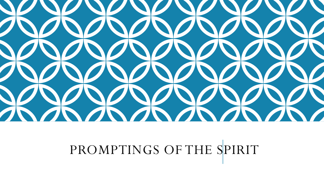

# PROMPTINGS OF THE SPIRIT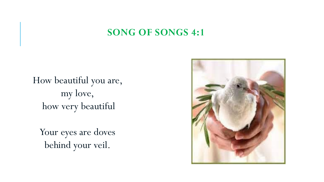#### **SONG OF SONGS 4:1**

How beautiful you are, my love, how very beautiful

Your eyes are doves behind your veil.

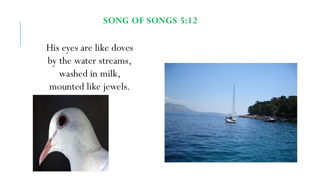#### **SONG OF SONGS 5:12**

His eyes are like doves by the water streams, washed in milk, mounted like jewels.



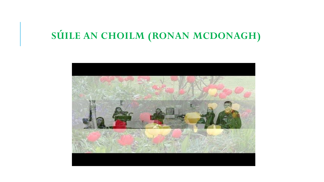# **SÚILE AN CHOILM (RONAN MCDONAGH)**

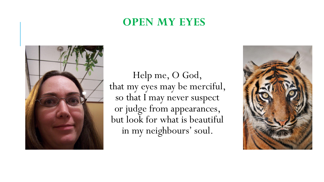## **OPEN MY EYES**



Help me, O God, that my eyes may be merciful, so that I may never suspect or judge from appearances, but look for what is beautiful in my neighbours' soul.

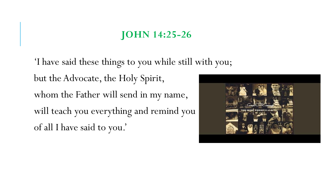# **JOHN 14:25-26**

'I have said these things to you while still with you; but the Advocate, the Holy Spirit, whom the Father will send in my name, will teach you everything and remind you of all I have said to you.'

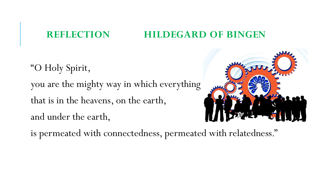# **REFLECTION HILDEGARD OF BINGEN**

"O Holy Spirit, you are the mighty way in which everything that is in the heavens, on the earth, and under the earth,



is permeated with connectedness, permeated with relatedness."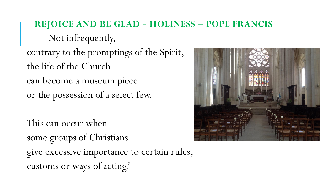**REJOICE AND BE GLAD - HOLINESS – POPE FRANCIS** Not infrequently, contrary to the promptings of the Spirit, the life of the Church can become a museum piece or the possession of a select few.

This can occur when some groups of Christians give excessive importance to certain rules, customs or ways of acting.'

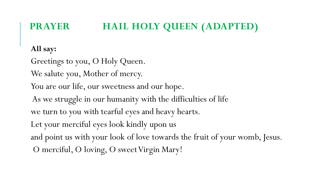# **PRAYER HAIL HOLY QUEEN (ADAPTED)**

#### **All say:**

Greetings to you, O Holy Queen. We salute you, Mother of mercy. You are our life, our sweetness and our hope. As we struggle in our humanity with the difficulties of life we turn to you with tearful eyes and heavy hearts. Let your merciful eyes look kindly upon us and point us with your look of love towards the fruit of your womb, Jesus. O merciful, O loving, O sweet Virgin Mary!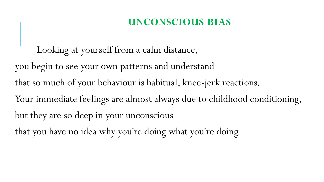# **UNCONSCIOUS BIAS**

- Looking at yourself from a calm distance, you begin to see your own patterns and understand that so much of your behaviour is habitual, knee-jerk reactions. Your immediate feelings are almost always due to childhood conditioning, but they are so deep in your unconscious
- that you have no idea why you're doing what you're doing.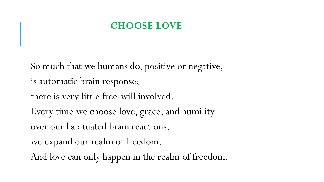#### **CHOOSE LOVE**

So much that we humans do, positive or negative, is automatic brain response; there is very little free-will involved. Every time we choose love, grace, and humility over our habituated brain reactions, we expand our realm of freedom. And love can only happen in the realm of freedom.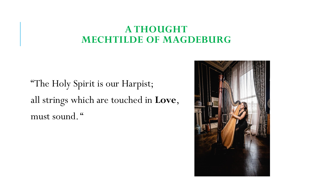#### **A THOUGHT MECHTILDE OF MAGDEBURG**

"The Holy Spirit is our Harpist; all strings which are touched in **Love**, must sound. "

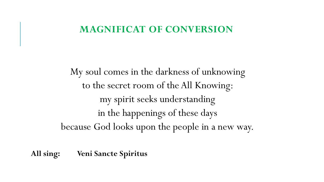#### **MAGNIFICAT OF CONVERSION**

My soul comes in the darkness of unknowing to the secret room of the All Knowing: my spirit seeks understanding in the happenings of these days because God looks upon the people in a new way.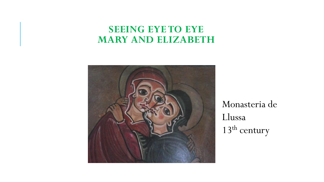#### **SEEING EYE TO EYE MARY AND ELIZABETH**



Monasteria de Llussa 13<sup>th</sup> century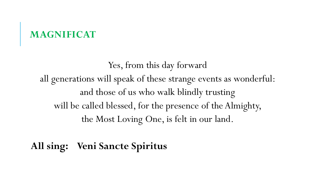Yes, from this day forward all generations will speak of these strange events as wonderful: and those of us who walk blindly trusting will be called blessed, for the presence of the Almighty, the Most Loving One, is felt in our land.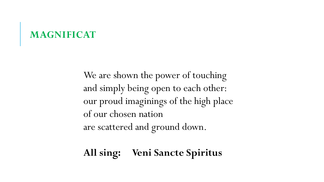We are shown the power of touching and simply being open to each other: our proud imaginings of the high place of our chosen nation are scattered and ground down.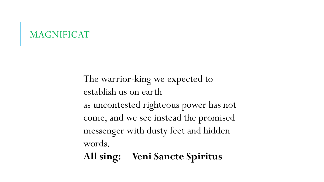The warrior-king we expected to establish us on earth as uncontested righteous power has not come, and we see instead the promised messenger with dusty feet and hidden words.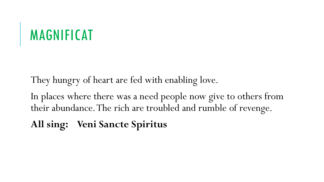They hungry of heart are fed with enabling love.

In places where there was a need people now give to others from their abundance. The rich are troubled and rumble of revenge.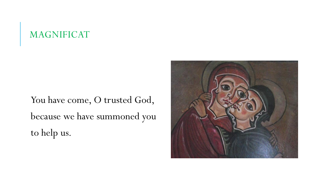You have come, O trusted God, because we have summoned you to help us.